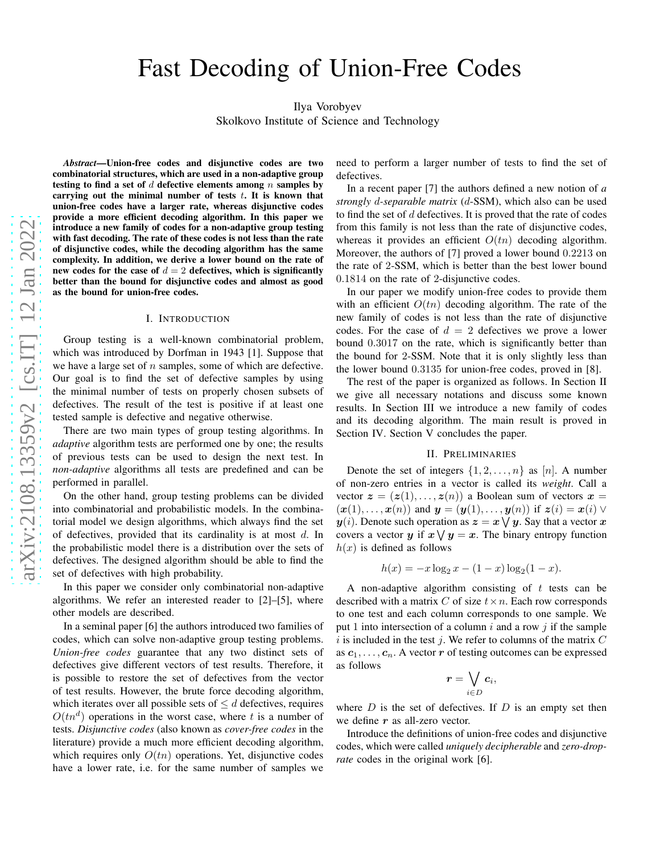# Fast Decoding of Union-Free Codes

Ilya Vorobyev

Skolkovo Institute of Science and Technology

*Abstract*—Union-free codes and disjunctive codes are two combinatorial structures, which are used in a non-adaptive group testing to find a set of  $d$  defective elements among  $n$  samples by carrying out the minimal number of tests  $t$ . It is known that union-free codes have a larger rate, whereas disjunctive codes provide a more efficient decoding algorithm. In this paper we introduce a new family of codes for a non-adaptive group testing with fast decoding. The rate of these codes is not less than the rate of disjunctive codes, while the decoding algorithm has the same complexity. In addition, we derive a lower bound on the rate of new codes for the case of  $d = 2$  defectives, which is significantly better than the bound for disjunctive codes and almost as good as the bound for union-free codes.

#### I. INTRODUCTION

Group testing is a well-known combinatorial problem, which was introduced by Dorfman in 1943 [1]. Suppose that we have a large set of  $n$  samples, some of which are defective. Our goal is to find the set of defective samples by using the minimal number of tests on properly chosen subsets of defectives. The result of the test is positive if at least one tested sample is defective and negative otherwise.

There are two main types of group testing algorithms. In *adaptive* algorithm tests are performed one by one; the results of previous tests can be used to design the next test. In *non-adaptive* algorithms all tests are predefined and can be performed in parallel.

On the other hand, group testing problems can be divided into combinatorial and probabilistic models. In the combinatorial model we design algorithms, which always find the set of defectives, provided that its cardinality is at most d. In the probabilistic model there is a distribution over the sets of defectives. The designed algorithm should be able to find the set of defectives with high probability.

In this paper we consider only combinatorial non-adaptive algorithms. We refer an interested reader to [2]–[5], where other models are described.

In a seminal paper [6] the authors introduced two families of codes, which can solve non-adaptive group testing problems. *Union-free codes* guarantee that any two distinct sets of defectives give different vectors of test results. Therefore, it is possible to restore the set of defectives from the vector of test results. However, the brute force decoding algorithm, which iterates over all possible sets of  $\leq d$  defectives, requires  $O(tn^d)$  operations in the worst case, where t is a number of tests. *Disjunctive codes* (also known as *cover-free codes* in the literature) provide a much more efficient decoding algorithm, which requires only  $O(tn)$  operations. Yet, disjunctive codes have a lower rate, i.e. for the same number of samples we

need to perform a larger number of tests to find the set of defectives.

In a recent paper [7] the authors defined a new notion of *a strongly* d*-separable matrix* (d-SSM), which also can be used to find the set of  $d$  defectives. It is proved that the rate of codes from this family is not less than the rate of disjunctive codes, whereas it provides an efficient  $O(tn)$  decoding algorithm. Moreover, the authors of [7] proved a lower bound 0.2213 on the rate of 2-SSM, which is better than the best lower bound 0.1814 on the rate of 2-disjunctive codes.

In our paper we modify union-free codes to provide them with an efficient  $O(tn)$  decoding algorithm. The rate of the new family of codes is not less than the rate of disjunctive codes. For the case of  $d = 2$  defectives we prove a lower bound 0.3017 on the rate, which is significantly better than the bound for 2-SSM. Note that it is only slightly less than the lower bound 0.3135 for union-free codes, proved in [8].

The rest of the paper is organized as follows. In Section II we give all necessary notations and discuss some known results. In Section III we introduce a new family of codes and its decoding algorithm. The main result is proved in Section IV. Section V concludes the paper.

#### II. PRELIMINARIES

Denote the set of integers  $\{1, 2, \ldots, n\}$  as  $[n]$ . A number of non-zero entries in a vector is called its *weight*. Call a vector  $z = (z(1), \ldots, z(n))$  a Boolean sum of vectors  $x =$  $(\boldsymbol{x}(1), \ldots, \boldsymbol{x}(n))$  and  $\boldsymbol{y} = (\boldsymbol{y}(1), \ldots, \boldsymbol{y}(n))$  if  $\boldsymbol{z}(i) = \boldsymbol{x}(i) \vee$  $\pmb{y}(i)$ . Denote such operation as  $\pmb{z} = \pmb{x} \bigvee \pmb{y}$ . Say that a vector  $\pmb{x}$ covers a vector  $y$  if  $x \vee y = x$ . The binary entropy function  $h(x)$  is defined as follows

$$
h(x) = -x \log_2 x - (1 - x) \log_2 (1 - x).
$$

A non-adaptive algorithm consisting of  $t$  tests can be described with a matrix C of size  $t \times n$ . Each row corresponds to one test and each column corresponds to one sample. We put 1 into intersection of a column  $i$  and a row  $j$  if the sample i is included in the test j. We refer to columns of the matrix  $C$ as  $c_1, \ldots, c_n$ . A vector r of testing outcomes can be expressed as follows

$$
\boldsymbol{r}=\bigvee_{i\in D}\boldsymbol{c}_i,
$$

where  $D$  is the set of defectives. If  $D$  is an empty set then we define  $r$  as all-zero vector.

Introduce the definitions of union-free codes and disjunctive codes, which were called *uniquely decipherable* and *zero-droprate* codes in the original work [6].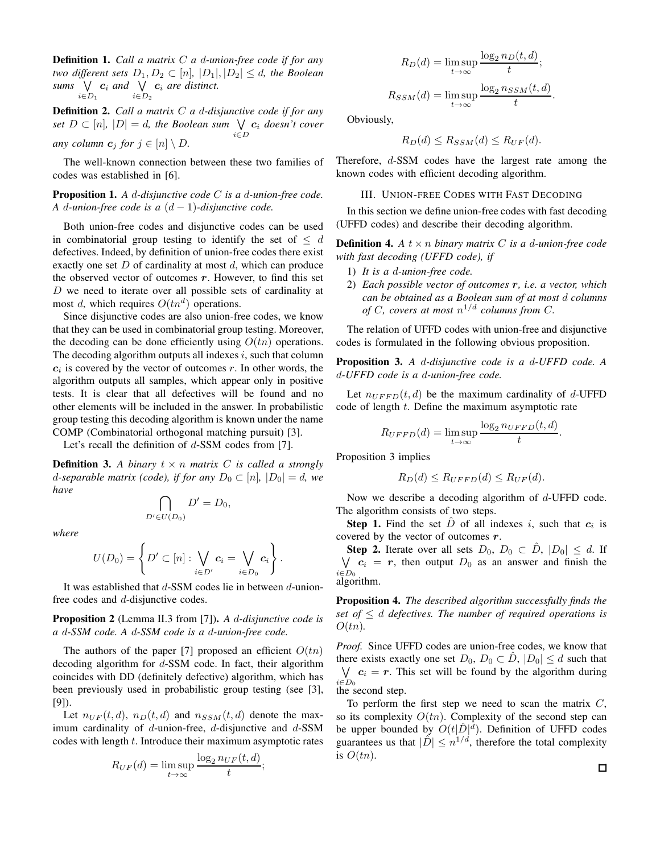Definition 1. *Call a matrix* C *a* d*-union-free code if for any two different sets*  $D_1, D_2 \subset [n], |D_1|, |D_2| \leq d$ , the Boolean sums  $\bigvee$   $c_i$  and  $\bigvee$   $c_i$  are distinct.  $i \in D_1$  $i \in D_2$ 

Definition 2. *Call a matrix* C *a* d*-disjunctive code if for any*  $set D \subset [n]$ ,  $|D| = d$ , the Boolean sum  $\bigvee_{i \in D} c_i$  doesn't cover  $i \in D$ *any column*  $c_j$  *for*  $j \in [n] \setminus D$ *.* 

The well-known connection between these two families of codes was established in [6].

Proposition 1. *A* d*-disjunctive code* C *is a* d*-union-free code. A* d*-union-free code is a* (d − 1)*-disjunctive code.*

Both union-free codes and disjunctive codes can be used in combinatorial group testing to identify the set of  $\leq d$ defectives. Indeed, by definition of union-free codes there exist exactly one set  $D$  of cardinality at most  $d$ , which can produce the observed vector of outcomes  $r$ . However, to find this set  $D$  we need to iterate over all possible sets of cardinality at most d, which requires  $O(tn^d)$  operations.

Since disjunctive codes are also union-free codes, we know that they can be used in combinatorial group testing. Moreover, the decoding can be done efficiently using  $O(tn)$  operations. The decoding algorithm outputs all indexes  $i$ , such that column  $c_i$  is covered by the vector of outcomes r. In other words, the algorithm outputs all samples, which appear only in positive tests. It is clear that all defectives will be found and no other elements will be included in the answer. In probabilistic group testing this decoding algorithm is known under the name COMP (Combinatorial orthogonal matching pursuit) [3].

Let's recall the definition of  $d$ -SSM codes from [7].

∩  $D' \in U(D_0)$ 

**Definition 3.** A binary  $t \times n$  *matrix* C *is called a strongly d*-separable matrix (code), if for any  $D_0 \subset [n]$ ,  $|D_0| = d$ , we *have*

 $D' = D_0,$ 

*where*

$$
U(D_0)=\left\{D'\subset[n]:\bigvee_{i\in D'}\mathbf{c}_i=\bigvee_{i\in D_0}\mathbf{c}_i\right\}.
$$

It was established that  $d$ -SSM codes lie in between  $d$ -unionfree codes and d-disjunctive codes.

Proposition 2 (Lemma II.3 from [7]). *A* d*-disjunctive code is a* d*-SSM code. A* d*-SSM code is a* d*-union-free code.*

The authors of the paper [7] proposed an efficient  $O(tn)$ decoding algorithm for d-SSM code. In fact, their algorithm coincides with DD (definitely defective) algorithm, which has been previously used in probabilistic group testing (see [3], [9]).

Let  $n_{UF}(t, d)$ ,  $n_D(t, d)$  and  $n_{SSM}(t, d)$  denote the maximum cardinality of  $d$ -union-free,  $d$ -disjunctive and  $d$ -SSM codes with length  $t$ . Introduce their maximum asymptotic rates

$$
R_{UF}(d) = \limsup_{t \to \infty} \frac{\log_2 n_{UF}(t, d)}{t};
$$

$$
R_D(d) = \limsup_{t \to \infty} \frac{\log_2 n_D(t, d)}{t};
$$

 $R_{SSM}(d) = \limsup_{t \to \infty}$  $\log_2 n_{SSM}(t, d)$  $\frac{1}{t}$ .

Obviously,

$$
R_D(d) \le R_{SSM}(d) \le R_{UF}(d).
$$

Therefore, d-SSM codes have the largest rate among the known codes with efficient decoding algorithm.

## III. UNION-FREE CODES WITH FAST DECODING

In this section we define union-free codes with fast decoding (UFFD codes) and describe their decoding algorithm.

**Definition 4.** *A*  $t \times n$  *binary matrix C is a d-union-free code with fast decoding (UFFD code), if*

- 1) *It is a* d*-union-free code.*
- 2) *Each possible vector of outcomes* r*, i.e. a vector, which can be obtained as a Boolean sum of at most* d *columns of* C, covers at most  $n^{1/d}$  columns from C.

The relation of UFFD codes with union-free and disjunctive codes is formulated in the following obvious proposition.

Proposition 3. *A* d*-disjunctive code is a* d*-UFFD code. A* d*-UFFD code is a* d*-union-free code.*

Let  $n_{UFFD}(t, d)$  be the maximum cardinality of d-UFFD code of length t. Define the maximum asymptotic rate

$$
R_{UFFD}(d) = \limsup_{t \to \infty} \frac{\log_2 n_{UFFD}(t, d)}{t}.
$$

Proposition 3 implies

$$
R_D(d) \le R_{UFFD}(d) \le R_{UF}(d).
$$

Now we describe a decoding algorithm of  $d$ -UFFD code. The algorithm consists of two steps.

**Step 1.** Find the set  $\hat{D}$  of all indexes i, such that  $c_i$  is covered by the vector of outcomes  $r$ .

**Step 2.** Iterate over all sets  $D_0$ ,  $D_0 \subset \hat{D}$ ,  $|D_0| \leq d$ . If W  $\bigvee_{i\in D_0} c_i = r$ , then output  $D_0$  as an answer and finish the algorithm.

Proposition 4. *The described algorithm successfully finds the set of*  $\leq$  *d defectives. The number of required operations is*  $O(tn)$ .

*Proof.* Since UFFD codes are union-free codes, we know that there exists exactly one set  $D_0$ ,  $D_0 \subset D$ ,  $|D_0| \le d$  such that  $\bigvee c_i = r$ . This set will be found by the algorithm during  $i \in D_0$ the second step.

To perform the first step we need to scan the matrix  $C$ , so its complexity  $O(tn)$ . Complexity of the second step can be upper bounded by  $O(t|\hat{D}|^d)$ . Definition of UFFD codes guarantees us that  $|\tilde{D}| \leq n^{1/d}$ , therefore the total complexity is  $O(tn)$ .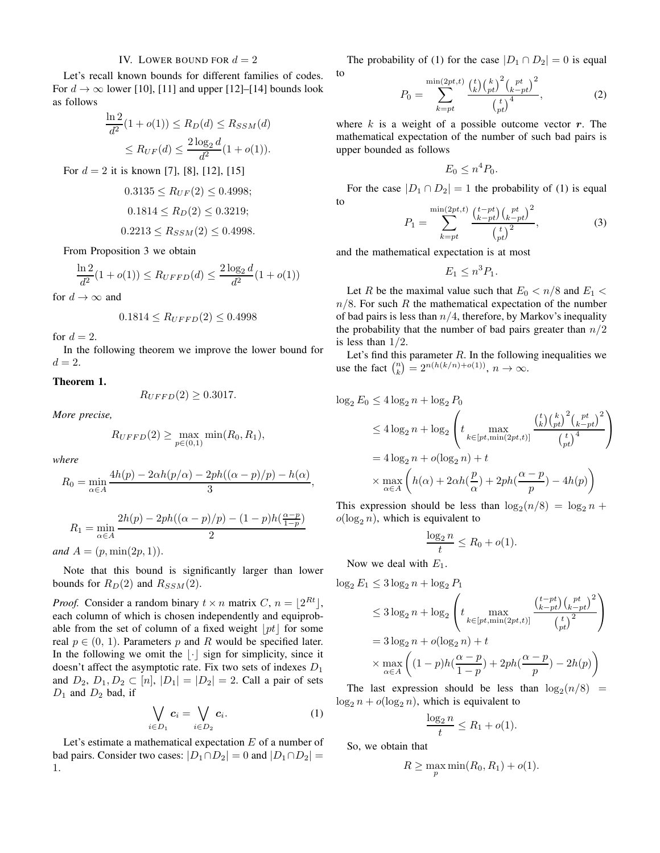## IV. LOWER BOUND FOR  $d = 2$

Let's recall known bounds for different families of codes. For  $d \to \infty$  lower [10], [11] and upper [12]–[14] bounds look as follows

$$
\frac{\ln 2}{d^2} (1 + o(1)) \le R_D(d) \le R_{SSM}(d)
$$
  
 
$$
\le R_{UF}(d) \le \frac{2 \log_2 d}{d^2} (1 + o(1)).
$$

For  $d = 2$  it is known [7], [8], [12], [15]

$$
0.3135 \le R_{UF}(2) \le 0.4998;
$$
  

$$
0.1814 \le R_D(2) \le 0.3219;
$$
  

$$
0.2213 \le R_{SSM}(2) \le 0.4998.
$$

From Proposition 3 we obtain

$$
\frac{\ln 2}{d^2}(1+o(1)) \le R_{UFFD}(d) \le \frac{2\log_2 d}{d^2}(1+o(1))
$$

for  $d \to \infty$  and

$$
0.1814 \le R_{UFFD}(2) \le 0.4998
$$

for  $d=2$ .

In the following theorem we improve the lower bound for  $d=2$ .

## Theorem 1.

 $R_{UFFD}(2) \geq 0.3017.$ 

*More precise,*

$$
R_{UFFD}(2) \ge \max_{p \in (0,1)} \min(R_0, R_1),
$$

*where*

$$
R_0 = \min_{\alpha \in A} \frac{4h(p) - 2\alpha h(p/\alpha) - 2ph((\alpha - p)/p) - h(\alpha)}{3},
$$

$$
R_1 = \min_{\alpha \in A} \frac{2h(p) - 2ph((\alpha - p)/p) - (1 - p)h(\frac{\alpha - p}{1 - p})}{2}
$$

*and*  $A = (p, \min(2p, 1)).$ 

Note that this bound is significantly larger than lower bounds for  $R_D(2)$  and  $R_{SSM}(2)$ .

*Proof.* Consider a random binary  $t \times n$  matrix  $C$ ,  $n = \lfloor 2^{Rt} \rfloor$ , each column of which is chosen independently and equiprobable from the set of column of a fixed weight  $|pt|$  for some real  $p \in (0, 1)$ . Parameters p and R would be specified later. In the following we omit the  $|\cdot|$  sign for simplicity, since it doesn't affect the asymptotic rate. Fix two sets of indexes  $D_1$ and  $D_2, D_1, D_2 \subset [n], |D_1| = |D_2| = 2$ . Call a pair of sets  $D_1$  and  $D_2$  bad, if

$$
\bigvee_{i\in D_1} \mathbf{c}_i = \bigvee_{i\in D_2} \mathbf{c}_i. \tag{1}
$$

Let's estimate a mathematical expectation  $E$  of a number of bad pairs. Consider two cases:  $|D_1 \cap D_2| = 0$  and  $|D_1 \cap D_2| =$ 1.

The probability of (1) for the case  $|D_1 \cap D_2| = 0$  is equal to

$$
P_0 = \sum_{k=pt}^{\min(2pt,t)} \frac{{t \choose k} {t \choose pt}^2 {t \choose k-pt}^2}{{t \choose k}^4},
$$
 (2)

where  $k$  is a weight of a possible outcome vector  $r$ . The mathematical expectation of the number of such bad pairs is upper bounded as follows

$$
E_0 \leq n^4 P_0.
$$

For the case  $|D_1 \cap D_2| = 1$  the probability of (1) is equal to

$$
P_1 = \sum_{k=pt}^{\min(2pt, t)} \frac{\binom{t - pt}{k - pt} \binom{pt}{k - pt}^2}{\binom{t}{pt}^2},\tag{3}
$$

and the mathematical expectation is at most

$$
E_1 \leq n^3 P_1.
$$

Let R be the maximal value such that  $E_0 < n/8$  and  $E_1 <$  $n/8$ . For such R the mathematical expectation of the number of bad pairs is less than  $n/4$ , therefore, by Markov's inequality the probability that the number of bad pairs greater than  $n/2$ is less than  $1/2$ .

Let's find this parameter  $R$ . In the following inequalities we use the fact  $\binom{n}{k} = 2^{n(h(k/n)+o(1))}, n \to \infty.$ 

$$
\log_2 E_0 \le 4 \log_2 n + \log_2 P_0
$$
  
\n
$$
\le 4 \log_2 n + \log_2 \left( t \max_{k \in [pt, \min(2pt, t)]} \frac{\binom{t}{k} \binom{k}{pt}^2 \binom{pt}{k - pt}}{\binom{t}{pt}^4} \right)
$$
  
\n
$$
= 4 \log_2 n + o(\log_2 n) + t
$$
  
\n
$$
\times \max_{\alpha \in A} \left( h(\alpha) + 2\alpha h(\frac{p}{\alpha}) + 2ph(\frac{\alpha - p}{p}) - 4h(p) \right)
$$

This expression should be less than  $\log_2(n/8) = \log_2 n +$  $o(\log_2 n)$ , which is equivalent to

$$
\frac{\log_2 n}{t} \le R_0 + o(1).
$$

Now we deal with  $E_1$ .

$$
\log_2 E_1 \le 3 \log_2 n + \log_2 P_1
$$
  
\n
$$
\le 3 \log_2 n + \log_2 \left( t \max_{k \in [pt, \min(2pt, t)]} \frac{\left(\frac{t - pt}{k - pt}\right)\left(\frac{pt}{k - pt}\right)^2}{\left(\frac{t}{pt}\right)^2} \right)
$$
  
\n
$$
= 3 \log_2 n + o(\log_2 n) + t
$$
  
\n
$$
\times \max_{\alpha \in A} \left( (1 - p)h(\frac{\alpha - p}{1 - p}) + 2ph(\frac{\alpha - p}{p}) - 2h(p) \right)
$$

The last expression should be less than  $\log_2(n/8)$  =  $\log_2 n + o(\log_2 n)$ , which is equivalent to

$$
\frac{\log_2 n}{t} \le R_1 + o(1).
$$

So, we obtain that

$$
R \ge \max_p \min(R_0, R_1) + o(1).
$$